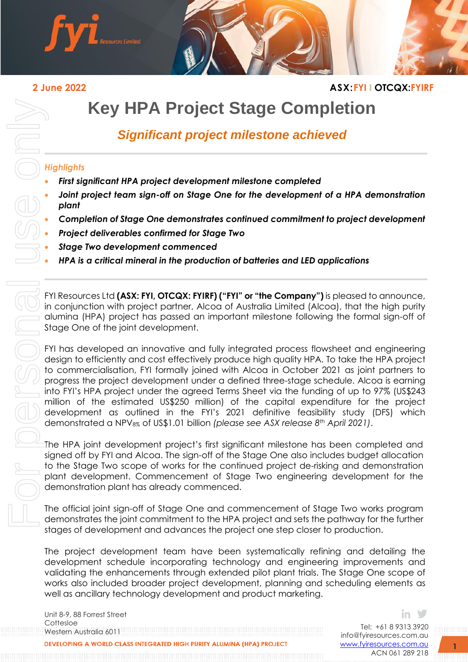

### **2 June 2022 ASX:FYI I OTCQX:FYIRF**

# **Key HPA Project Stage Completion**

## *Significant project milestone achieved*

#### *Highlights*

- *First significant HPA project development milestone completed*
- *Joint project team sign-off on Stage One for the development of a HPA demonstration plant*
- *Completion of Stage One demonstrates continued commitment to project development*
- *Project deliverables confirmed for Stage Two*
- *Stage Two development commenced*
- *HPA is a critical mineral in the production of batteries and LED applications*

FYI Resources Ltd **(ASX: FYI, OTCQX: FYIRF) ("FYI" or "the Company")** is pleased to announce, in conjunction with project partner, Alcoa of Australia Limited (Alcoa), that the high purity alumina (HPA) project has passed an important milestone following the formal sign-off of Stage One of the joint development.

FYI has developed an innovative and fully integrated process flowsheet and engineering design to efficiently and cost effectively produce high quality HPA. To take the HPA project to commercialisation, FYI formally joined with Alcoa in October 2021 as joint partners to progress the project development under a defined three-stage schedule. Alcoa is earning into FYI's HPA project under the agreed Terms Sheet via the funding of up to 97% (US\$243 million of the estimated US\$250 million) of the capital expenditure for the project development as outlined in the FYI's 2021 definitive feasibility study (DFS) which demonstrated a NPV8% of US\$1.01 billion *(please see ASX release 8th April 2021)*.

The HPA joint development project's first significant milestone has been completed and signed off by FYI and Alcoa. The sign-off of the Stage One also includes budget allocation to the Stage Two scope of works for the continued project de-risking and demonstration plant development. Commencement of Stage Two engineering development for the demonstration plant has already commenced.

The official joint sign-off of Stage One and commencement of Stage Two works program demonstrates the joint commitment to the HPA project and sets the pathway for the further stages of development and advances the project one step closer to production.

The project development team have been systematically refining and detailing the development schedule incorporating technology and engineering improvements and validating the enhancements through extended pilot plant trials. The Stage One scope of works also included broader project development, planning and scheduling elements as well as ancillary technology development and product marketing.

Unit 8-9, 88 Forrest Street Cottesloe Western Australia 6011

Tel: +61 8 9313 3920 [info@fyiresources.com.au](mailto:info@fyiresources.com.au) [www.fyiresources.com.au](mailto:https://www.fyiresources.com.au/) ACN 061 289 218

in ≫

**1**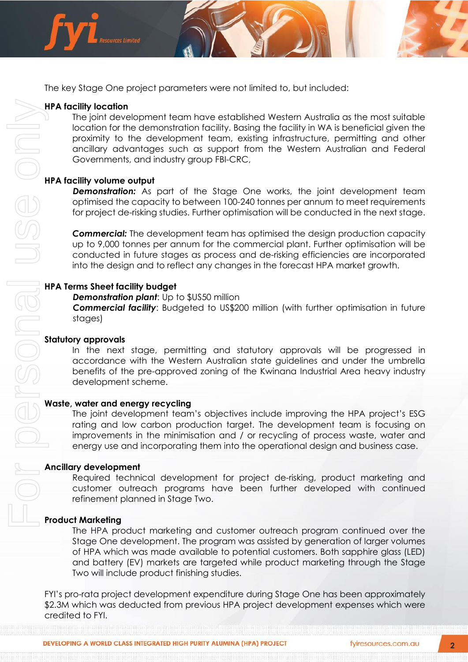

The key Stage One project parameters were not limited to, but included:

#### **HPA facility location**

The joint development team have established Western Australia as the most suitable location for the demonstration facility. Basing the facility in WA is beneficial given the proximity to the development team, existing infrastructure, permitting and other ancillary advantages such as support from the Western Australian and Federal Governments, and industry group FBI-CRC,

#### **HPA facility volume output**

*Demonstration:* As part of the Stage One works, the joint development team optimised the capacity to between 100-240 tonnes per annum to meet requirements for project de-risking studies. Further optimisation will be conducted in the next stage.

**Commercial:** The development team has optimised the design production capacity up to 9,000 tonnes per annum for the commercial plant. Further optimisation will be conducted in future stages as process and de-risking efficiencies are incorporated into the design and to reflect any changes in the forecast HPA market growth.

#### **HPA Terms Sheet facility budget**

**Demonstration plant:** Up to \$US50 million

*Commercial facility*: Budgeted to US\$200 million (with further optimisation in future stages)

#### **Statutory approvals**

In the next stage, permitting and statutory approvals will be progressed in accordance with the Western Australian state guidelines and under the umbrella benefits of the pre-approved zoning of the Kwinana Industrial Area heavy industry development scheme.

#### **Waste, water and energy recycling**

The joint development team's objectives include improving the HPA project's ESG rating and low carbon production target. The development team is focusing on improvements in the minimisation and / or recycling of process waste, water and energy use and incorporating them into the operational design and business case.

#### **Ancillary development**

Required technical development for project de-risking, product marketing and customer outreach programs have been further developed with continued refinement planned in Stage Two.

#### **Product Marketing**

The HPA product marketing and customer outreach program continued over the Stage One development. The program was assisted by generation of larger volumes of HPA which was made available to potential customers. Both sapphire glass (LED) and battery (EV) markets are targeted while product marketing through the Stage Two will include product finishing studies.

FYI's pro-rata project development expenditure during Stage One has been approximately \$2.3M which was deducted from previous HPA project development expenses which were credited to FYI.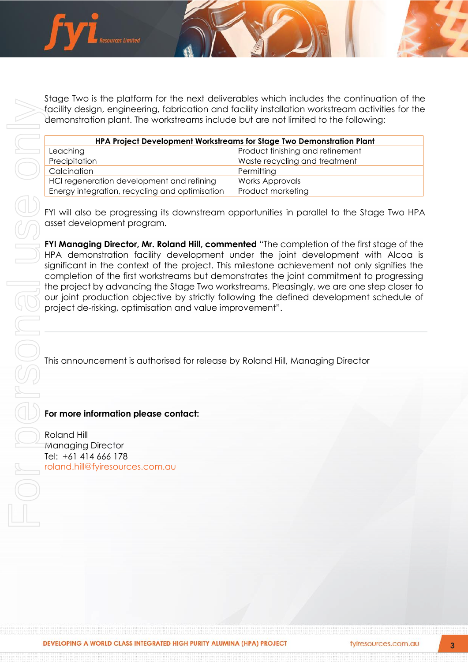

Stage Two is the platform for the next deliverables which includes the continuation of the facility design, engineering, fabrication and facility installation workstream activities for the demonstration plant. The workstreams include but are not limited to the following:

| HPA Project Development Workstreams for Stage Two Demonstration Plant |                                  |
|-----------------------------------------------------------------------|----------------------------------|
| Leaching                                                              | Product finishing and refinement |
| Precipitation                                                         | Waste recycling and treatment    |
| Calcination                                                           | Permitting                       |
| HCI regeneration development and refining                             | <b>Works Approvals</b>           |
| Energy integration, recycling and optimisation                        | Product marketing                |

FYI will also be progressing its downstream opportunities in parallel to the Stage Two HPA asset development program.

**FYI Managing Director, Mr. Roland Hill, commented** "The completion of the first stage of the HPA demonstration facility development under the joint development with Alcoa is significant in the context of the project. This milestone achievement not only signifies the completion of the first workstreams but demonstrates the joint commitment to progressing the project by advancing the Stage Two workstreams. Pleasingly, we are one step closer to our joint production objective by strictly following the defined development schedule of project de-risking, optimisation and value improvement".

This announcement is authorised for release by Roland Hill, Managing Director

#### **For more information please contact:**

Roland Hill Managing Director Tel: +61 414 666 178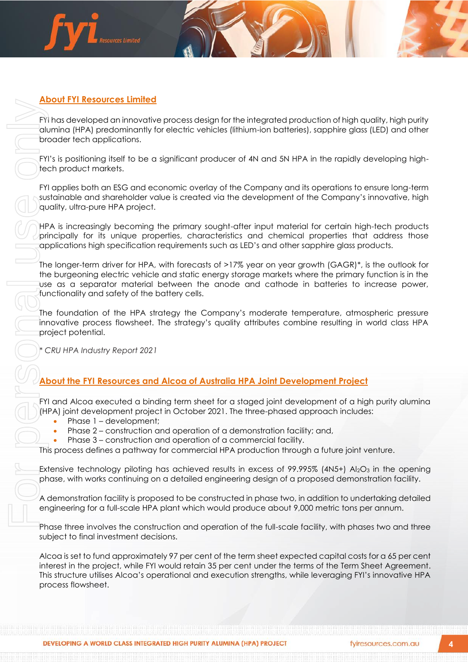

#### **About FYI Resources Limited**

FYI has developed an innovative process design for the integrated production of high quality, high purity alumina (HPA) predominantly for electric vehicles (lithium-ion batteries), sapphire glass (LED) and other broader tech applications.

FYI's is positioning itself to be a significant producer of 4N and 5N HPA in the rapidly developing hightech product markets.

FYI applies both an ESG and economic overlay of the Company and its operations to ensure long-term sustainable and shareholder value is created via the development of the Company's innovative, high quality, ultra-pure HPA project.

HPA is increasingly becoming the primary sought-after input material for certain high-tech products principally for its unique properties, characteristics and chemical properties that address those applications high specification requirements such as LED's and other sapphire glass products.

The longer-term driver for HPA, with forecasts of >17% year on year growth (GAGR)\*, is the outlook for the burgeoning electric vehicle and static energy storage markets where the primary function is in the use as a separator material between the anode and cathode in batteries to increase power, functionality and safety of the battery cells.

The foundation of the HPA strategy the Company's moderate temperature, atmospheric pressure innovative process flowsheet. The strategy's quality attributes combine resulting in world class HPA project potential.

*\* CRU HPA Industry Report 2021*

#### **About the FYI Resources and Alcoa of Australia HPA Joint Development Project**

FYI and Alcoa executed a binding term sheet for a staged joint development of a high purity alumina (HPA) joint development project in October 2021. The three-phased approach includes:

- Phase 1 development;
- Phase 2 construction and operation of a demonstration facility; and,
- Phase  $3$  construction and operation of a commercial facility.

This process defines a pathway for commercial HPA production through a future joint venture.

Extensive technology piloting has achieved results in excess of  $99.995\%$  (4N5+) Al<sub>2</sub>O<sub>3</sub> in the opening phase, with works continuing on a detailed engineering design of a proposed demonstration facility.

A demonstration facility is proposed to be constructed in phase two, in addition to undertaking detailed engineering for a full-scale HPA plant which would produce about 9,000 metric tons per annum.

Phase three involves the construction and operation of the full-scale facility, with phases two and three subject to final investment decisions.

Alcoa is set to fund approximately 97 per cent of the term sheet expected capital costs for a 65 per cent interest in the project, while FYI would retain 35 per cent under the terms of the Term Sheet Agreement. This structure utilises Alcoa's operational and execution strengths, while leveraging FYI's innovative HPA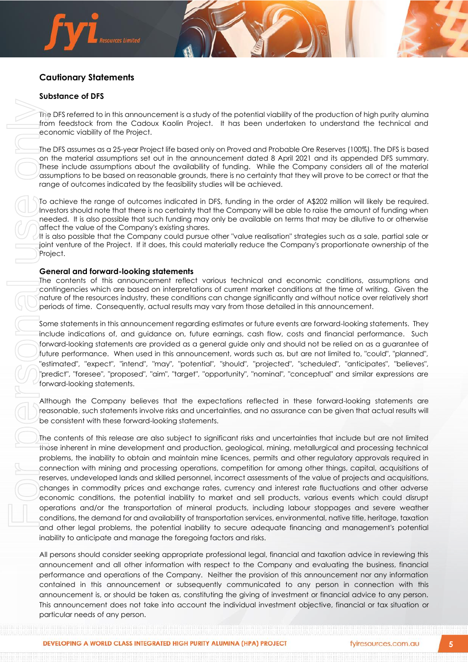#### **Cautionary Statements**

rces Limited

#### **Substance of DFS**

The DFS referred to in this announcement is a study of the potential viability of the production of high purity alumina from feedstock from the Cadoux Kaolin Project. It has been undertaken to understand the technical and economic viability of the Project.

The DFS assumes as a 25-year Project life based only on Proved and Probable Ore Reserves (100%). The DFS is based on the material assumptions set out in the announcement dated 8 April 2021 and its appended DFS summary. These include assumptions about the availability of funding. While the Company considers all of the material assumptions to be based on reasonable grounds, there is no certainty that they will prove to be correct or that the range of outcomes indicated by the feasibility studies will be achieved.

To achieve the range of outcomes indicated in DFS, funding in the order of A\$202 million will likely be required. Investors should note that there is no certainty that the Company will be able to raise the amount of funding when needed. It is also possible that such funding may only be available on terms that may be dilutive to or otherwise affect the value of the Company's existing shares.

It is also possible that the Company could pursue other "value realisation" strategies such as a sale, partial sale or joint venture of the Project. If it does, this could materially reduce the Company's proportionate ownership of the Project.

#### **General and forward-looking statements**

The contents of this announcement reflect various technical and economic conditions, assumptions and contingencies which are based on interpretations of current market conditions at the time of writing. Given the nature of the resources industry, these conditions can change significantly and without notice over relatively short periods of time. Consequently, actual results may vary from those detailed in this announcement.

Some statements in this announcement regarding estimates or future events are forward-looking statements. They include indications of, and guidance on, future earnings, cash flow, costs and financial performance. Such forward-looking statements are provided as a general guide only and should not be relied on as a guarantee of future performance. When used in this announcement, words such as, but are not limited to, "could", "planned", "estimated", "expect", "intend", "may", "potential", "should", "projected", "scheduled", "anticipates", "believes", "predict", "foresee", "proposed", "aim", "target", "opportunity", "nominal", "conceptual" and similar expressions are forward-looking statements.

Although the Company believes that the expectations reflected in these forward-looking statements are reasonable, such statements involve risks and uncertainties, and no assurance can be given that actual results will be consistent with these forward-looking statements.

The contents of this release are also subject to significant risks and uncertainties that include but are not limited those inherent in mine development and production, geological, mining, metallurgical and processing technical problems, the inability to obtain and maintain mine licences, permits and other regulatory approvals required in connection with mining and processing operations, competition for among other things, capital, acquisitions of reserves, undeveloped lands and skilled personnel, incorrect assessments of the value of projects and acquisitions, changes in commodity prices and exchange rates, currency and interest rate fluctuations and other adverse economic conditions, the potential inability to market and sell products, various events which could disrupt operations and/or the transportation of mineral products, including labour stoppages and severe weather conditions, the demand for and availability of transportation services, environmental, native title, heritage, taxation and other legal problems, the potential inability to secure adequate financing and management's potential inability to anticipate and manage the foregoing factors and risks.

All persons should consider seeking appropriate professional legal, financial and taxation advice in reviewing this announcement and all other information with respect to the Company and evaluating the business, financial performance and operations of the Company. Neither the provision of this announcement nor any information contained in this announcement or subsequently communicated to any person in connection with this announcement is, or should be taken as, constituting the giving of investment or financial advice to any person. This announcement does not take into account the individual investment objective, financial or tax situation or